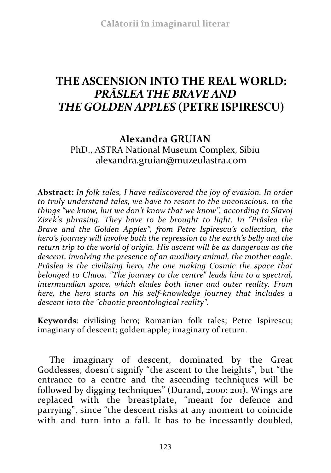## **THE ASCENSION INTO THE REAL WORLD:**  *PRÂSLEA THE BRAVE AND THE GOLDEN APPLES* **(PETRE ISPIRESCU)**

## **Alexandra GRUIAN**

PhD., ASTRA National Museum Complex, Sibiu alexandra.gruian@muzeulastra.com

**Abstract:** *In folk tales, I have rediscovered the joy of evasion. In order to truly understand tales, we have to resort to the unconscious, to the things "we know, but we don't know that we know", according to Slavoj Zizek's phrasing. They have to be brought to light. In "Prâslea the Brave and the Golden Apples", from Petre Ispirescu's collection, the hero's journey will involve both the regression to the earth's belly and the return trip to the world of origin. His ascent will be as dangerous as the descent, involving the presence of an auxiliary animal, the mother eagle. Prâslea is the civilising hero, the one making Cosmic the space that belonged to Chaos. "The journey to the centre" leads him to a spectral, intermundian space, which eludes both inner and outer reality. From here, the hero starts on his self-knowledge journey that includes a descent into the "chaotic preontological reality".*

**Keywords**: civilising hero; Romanian folk tales; Petre Ispirescu; imaginary of descent; golden apple; imaginary of return.

The imaginary of descent, dominated by the Great Goddesses, doesn't signify "the ascent to the heights", but "the entrance to a centre and the ascending techniques will be followed by digging techniques" (Durand, 2000: 201). Wings are replaced with the breastplate, "meant for defence and parrying", since "the descent risks at any moment to coincide with and turn into a fall. It has to be incessantly doubled,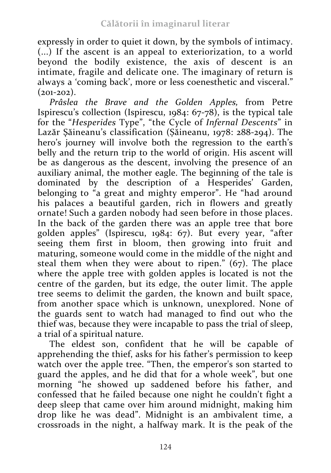expressly in order to quiet it down, by the symbols of intimacy. (...) If the ascent is an appeal to exteriorization, to a world beyond the bodily existence, the axis of descent is an intimate, fragile and delicate one. The imaginary of return is always a 'coming back', more or less coenesthetic and visceral."  $(201-202)$ .

*Prâslea the Brave and the Golden Apples,* from Petre Ispirescu's collection (Ispirescu, 1984: 67-78), is the typical tale for the "*Hesperides* Type", "the Cycle of *Infernal Descents*" in Lazăr Şăineanu's classification (Șăineanu, 1978: 288-294). The hero's journey will involve both the regression to the earth's belly and the return trip to the world of origin. His ascent will be as dangerous as the descent, involving the presence of an auxiliary animal, the mother eagle. The beginning of the tale is dominated by the description of a Hesperides' Garden, belonging to "a great and mighty emperor". He "had around his palaces a beautiful garden, rich in flowers and greatly ornate! Such a garden nobody had seen before in those places. In the back of the garden there was an apple tree that bore golden apples" (Ispirescu, 1984: 67). But every year, "after seeing them first in bloom, then growing into fruit and maturing, someone would come in the middle of the night and steal them when they were about to ripen." (67). The place where the apple tree with golden apples is located is not the centre of the garden, but its edge, the outer limit. The apple tree seems to delimit the garden, the known and built space, from another space which is unknown, unexplored. None of the guards sent to watch had managed to find out who the thief was, because they were incapable to pass the trial of sleep, a trial of a spiritual nature.

The eldest son, confident that he will be capable of apprehending the thief, asks for his father's permission to keep watch over the apple tree. "Then, the emperor's son started to guard the apples, and he did that for a whole week", but one morning "he showed up saddened before his father, and confessed that he failed because one night he couldn't fight a deep sleep that came over him around midnight, making him drop like he was dead". Midnight is an ambivalent time, a crossroads in the night, a halfway mark. It is the peak of the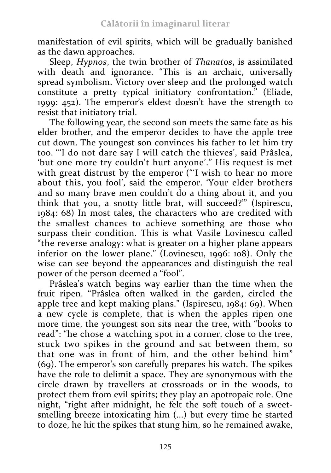manifestation of evil spirits, which will be gradually banished as the dawn approaches.

Sleep, *Hypnos*, the twin brother of *Thanatos*, is assimilated with death and ignorance. "This is an archaic, universally spread symbolism. Victory over sleep and the prolonged watch constitute a pretty typical initiatory confrontation." (Eliade, 1999: 452). The emperor's eldest doesn't have the strength to resist that initiatory trial.

The following year, the second son meets the same fate as his elder brother, and the emperor decides to have the apple tree cut down. The youngest son convinces his father to let him try too. "'I do not dare say I will catch the thieves', said Prâslea, 'but one more try couldn't hurt anyone'." His request is met with great distrust by the emperor ("'I wish to hear no more about this, you fool', said the emperor. 'Your elder brothers and so many brave men couldn't do a thing about it, and you think that you, a snotty little brat, will succeed?'" (Ispirescu, 1984: 68) In most tales, the characters who are credited with the smallest chances to achieve something are those who surpass their condition. This is what Vasile Lovinescu called "the reverse analogy: what is greater on a higher plane appears inferior on the lower plane." (Lovinescu, 1996: 108). Only the wise can see beyond the appearances and distinguish the real power of the person deemed a "fool".

Prâslea's watch begins way earlier than the time when the fruit ripen. "Prâslea often walked in the garden, circled the apple tree and kept making plans." (Ispirescu, 1984: 69). When a new cycle is complete, that is when the apples ripen one more time, the youngest son sits near the tree, with "books to read": "he chose a watching spot in a corner, close to the tree, stuck two spikes in the ground and sat between them, so that one was in front of him, and the other behind him" (69). The emperor's son carefully prepares his watch. The spikes have the role to delimit a space. They are synonymous with the circle drawn by travellers at crossroads or in the woods, to protect them from evil spirits; they play an apotropaic role. One night, "right after midnight, he felt the soft touch of a sweetsmelling breeze intoxicating him (...) but every time he started to doze, he hit the spikes that stung him, so he remained awake,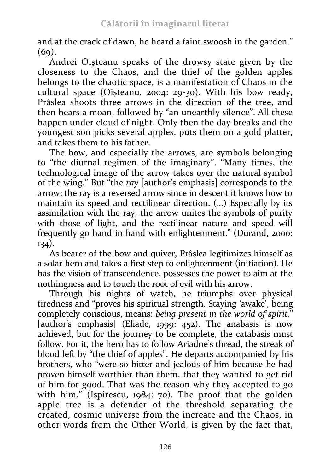and at the crack of dawn, he heard a faint swoosh in the garden."  $(69)$ .

Andrei Oişteanu speaks of the drowsy state given by the closeness to the Chaos, and the thief of the golden apples belongs to the chaotic space, is a manifestation of Chaos in the cultural space (Oișteanu, 2004: 29-30). With his bow ready, Prâslea shoots three arrows in the direction of the tree, and then hears a moan, followed by "an unearthly silence". All these happen under cloud of night. Only then the day breaks and the youngest son picks several apples, puts them on a gold platter, and takes them to his father.

The bow, and especially the arrows, are symbols belonging to "the diurnal regimen of the imaginary". "Many times, the technological image of the arrow takes over the natural symbol of the wing." But "the *ray* [author's emphasis] corresponds to the arrow; the ray is a reversed arrow since in descent it knows how to maintain its speed and rectilinear direction. (...) Especially by its assimilation with the ray, the arrow unites the symbols of purity with those of light, and the rectilinear nature and speed will frequently go hand in hand with enlightenment." (Durand, 2000:  $134)$ .

As bearer of the bow and quiver, Prâslea legitimizes himself as a solar hero and takes a first step to enlightenment (initiation). He has the vision of transcendence, possesses the power to aim at the nothingness and to touch the root of evil with his arrow.

Through his nights of watch, he triumphs over physical tiredness and "proves his spiritual strength. Staying 'awake', being completely conscious, means: *being present in the world of spirit.*" [author's emphasis] (Eliade, 1999; 452). The anabasis is now achieved, but for the journey to be complete, the catabasis must follow. For it, the hero has to follow Ariadne's thread, the streak of blood left by "the thief of apples". He departs accompanied by his brothers, who "were so bitter and jealous of him because he had proven himself worthier than them, that they wanted to get rid of him for good. That was the reason why they accepted to go with him." (Ispirescu, 1984: 70). The proof that the golden apple tree is a defender of the threshold separating the created, cosmic universe from the increate and the Chaos, in other words from the Other World, is given by the fact that,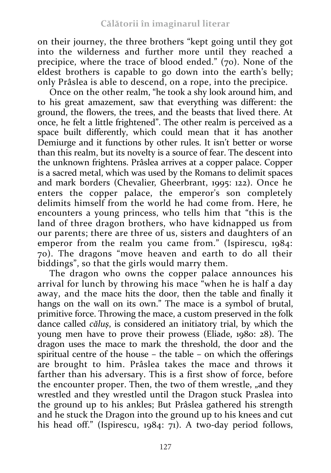on their journey, the three brothers "kept going until they got into the wilderness and further more until they reached a precipice, where the trace of blood ended." (70). None of the eldest brothers is capable to go down into the earth's belly; only Prâslea is able to descend, on a rope, into the precipice.

Once on the other realm, "he took a shy look around him, and to his great amazement, saw that everything was different: the ground, the flowers, the trees, and the beasts that lived there. At once, he felt a little frightened". The other realm is perceived as a space built differently, which could mean that it has another Demiurge and it functions by other rules. It isn't better or worse than this realm, but its novelty is a source of fear. The descent into the unknown frightens. Prâslea arrives at a copper palace. Copper is a sacred metal, which was used by the Romans to delimit spaces and mark borders (Chevalier, Gheerbrant, 1995: 122). Once he enters the copper palace, the emperor's son completely delimits himself from the world he had come from. Here, he encounters a young princess, who tells him that "this is the land of three dragon brothers, who have kidnapped us from our parents; there are three of us, sisters and daughters of an emperor from the realm you came from." (Ispirescu, 1984: 70). The dragons "move heaven and earth to do all their biddings", so that the girls would marry them.

The dragon who owns the copper palace announces his arrival for lunch by throwing his mace "when he is half a day away, and the mace hits the door, then the table and finally it hangs on the wall on its own." The mace is a symbol of brutal, primitive force. Throwing the mace, a custom preserved in the folk dance called *căluş*, is considered an initiatory trial, by which the young men have to prove their prowess (Eliade, 1980: 28). The dragon uses the mace to mark the threshold, the door and the spiritual centre of the house – the table – on which the offerings are brought to him. Prâslea takes the mace and throws it farther than his adversary. This is a first show of force, before the encounter proper. Then, the two of them wrestle, "and they wrestled and they wrestled until the Dragon stuck Praslea into the ground up to his ankles; But Prâslea gathered his strength and he stuck the Dragon into the ground up to his knees and cut his head off." (Ispirescu, 1984: 71). A two-day period follows,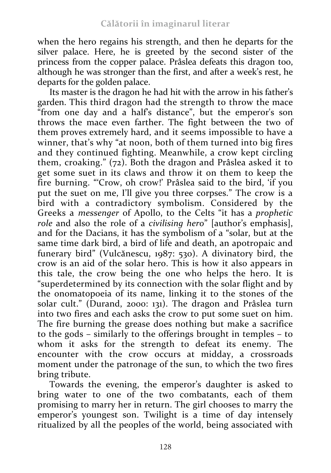when the hero regains his strength, and then he departs for the silver palace. Here, he is greeted by the second sister of the princess from the copper palace. Prâslea defeats this dragon too, although he was stronger than the first, and after a week's rest, he departs for the golden palace.

Its master is the dragon he had hit with the arrow in his father's garden. This third dragon had the strength to throw the mace "from one day and a half's distance", but the emperor's son throws the mace even farther. The fight between the two of them proves extremely hard, and it seems impossible to have a winner, that's why "at noon, both of them turned into big fires and they continued fighting. Meanwhile, a crow kept circling them, croaking." (72). Both the dragon and Prâslea asked it to get some suet in its claws and throw it on them to keep the fire burning. "'Crow, oh crow!' Prâslea said to the bird, 'if you put the suet on me, I'll give you three corpses." The crow is a bird with a contradictory symbolism. Considered by the Greeks a *messenger* of Apollo, to the Celts "it has a *prophetic role* and also the role of a *civilising hero*" [author's emphasis], and for the Dacians, it has the symbolism of a "solar, but at the same time dark bird, a bird of life and death, an apotropaic and funerary bird" (Vulcănescu, 1987: 530). A divinatory bird, the crow is an aid of the solar hero. This is how it also appears in this tale, the crow being the one who helps the hero. It is "superdetermined by its connection with the solar flight and by the onomatopoeia of its name, linking it to the stones of the solar cult." (Durand, 2000: 131). The dragon and Prâslea turn into two fires and each asks the crow to put some suet on him. The fire burning the grease does nothing but make a sacrifice to the gods – similarly to the offerings brought in temples – to whom it asks for the strength to defeat its enemy. The encounter with the crow occurs at midday, a crossroads moment under the patronage of the sun, to which the two fires bring tribute.

Towards the evening, the emperor's daughter is asked to bring water to one of the two combatants, each of them promising to marry her in return. The girl chooses to marry the emperor's youngest son. Twilight is a time of day intensely ritualized by all the peoples of the world, being associated with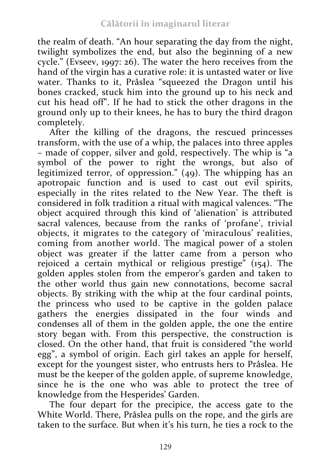the realm of death. "An hour separating the day from the night, twilight symbolizes the end, but also the beginning of a new cycle." (Evseev, 1997: 26). The water the hero receives from the hand of the virgin has a curative role: it is untasted water or live water. Thanks to it, Prâslea "squeezed the Dragon until his bones cracked, stuck him into the ground up to his neck and cut his head off". If he had to stick the other dragons in the ground only up to their knees, he has to bury the third dragon completely.

After the killing of the dragons, the rescued princesses transform, with the use of a whip, the palaces into three apples – made of copper, silver and gold, respectively. The whip is "a symbol of the power to right the wrongs, but also of legitimized terror, of oppression." (49). The whipping has an apotropaic function and is used to cast out evil spirits, especially in the rites related to the New Year. The theft is considered in folk tradition a ritual with magical valences. "The object acquired through this kind of 'alienation' is attributed sacral valences, because from the ranks of 'profane', trivial objects, it migrates to the category of 'miraculous' realities, coming from another world. The magical power of a stolen object was greater if the latter came from a person who rejoiced a certain mythical or religious prestige"  $(154)$ . The golden apples stolen from the emperor's garden and taken to the other world thus gain new connotations, become sacral objects. By striking with the whip at the four cardinal points, the princess who used to be captive in the golden palace gathers the energies dissipated in the four winds and condenses all of them in the golden apple, the one the entire story began with. From this perspective, the construction is closed. On the other hand, that fruit is considered "the world egg", a symbol of origin. Each girl takes an apple for herself, except for the youngest sister, who entrusts hers to Prâslea. He must be the keeper of the golden apple, of supreme knowledge, since he is the one who was able to protect the tree of knowledge from the Hesperides' Garden.

The four depart for the precipice, the access gate to the White World. There, Prâslea pulls on the rope, and the girls are taken to the surface. But when it's his turn, he ties a rock to the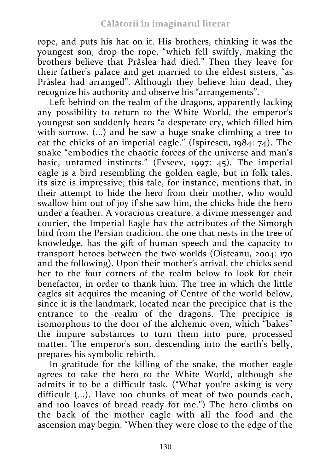rope, and puts his hat on it. His brothers, thinking it was the youngest son, drop the rope, "which fell swiftly, making the brothers believe that Prâslea had died." Then they leave for their father's palace and get married to the eldest sisters, "as Prâslea had arranged". Although they believe him dead, they recognize his authority and observe his "arrangements".

Left behind on the realm of the dragons, apparently lacking any possibility to return to the White World, the emperor's youngest son suddenly hears "a desperate cry, which filled him with sorrow. (...) and he saw a huge snake climbing a tree to eat the chicks of an imperial eagle." (Ispirescu, 1984: 74). The snake "embodies the chaotic forces of the universe and man's basic, untamed instincts." (Evseev, 1997: 45). The imperial eagle is a bird resembling the golden eagle, but in folk tales, its size is impressive; this tale, for instance, mentions that, in their attempt to hide the hero from their mother, who would swallow him out of joy if she saw him, the chicks hide the hero under a feather. A voracious creature, a divine messenger and courier, the Imperial Eagle has the attributes of the Simorgh bird from the Persian tradition, the one that nests in the tree of knowledge, has the gift of human speech and the capacity to transport heroes between the two worlds (Oișteanu, 2004: 170 and the following). Upon their mother's arrival, the chicks send her to the four corners of the realm below to look for their benefactor, in order to thank him. The tree in which the little eagles sit acquires the meaning of Centre of the world below, since it is the landmark, located near the precipice that is the entrance to the realm of the dragons. The precipice is isomorphous to the door of the alchemic oven, which "bakes" the impure substances to turn them into pure, processed matter. The emperor's son, descending into the earth's belly, prepares his symbolic rebirth.

In gratitude for the killing of the snake, the mother eagle agrees to take the hero to the White World, although she admits it to be a difficult task. ("What you're asking is very difficult (...). Have 100 chunks of meat of two pounds each, and 100 loaves of bread ready for me.") The hero climbs on the back of the mother eagle with all the food and the ascension may begin. "When they were close to the edge of the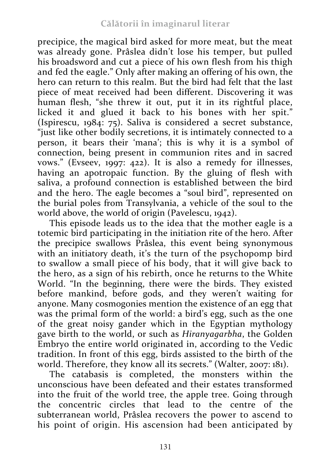precipice, the magical bird asked for more meat, but the meat was already gone. Prâslea didn't lose his temper, but pulled his broadsword and cut a piece of his own flesh from his thigh and fed the eagle." Only after making an offering of his own, the hero can return to this realm. But the bird had felt that the last piece of meat received had been different. Discovering it was human flesh, "she threw it out, put it in its rightful place, licked it and glued it back to his bones with her spit." (Ispirescu, 1984: 75). Saliva is considered a secret substance, "just like other bodily secretions, it is intimately connected to a person, it bears their 'mana'; this is why it is a symbol of connection, being present in communion rites and in sacred vows." (Evseev, 1997: 422). It is also a remedy for illnesses, having an apotropaic function. By the gluing of flesh with saliva, a profound connection is established between the bird and the hero. The eagle becomes a "soul bird", represented on the burial poles from Transylvania, a vehicle of the soul to the world above, the world of origin (Pavelescu, 1942).

This episode leads us to the idea that the mother eagle is a totemic bird participating in the initiation rite of the hero. After the precipice swallows Prâslea, this event being synonymous with an initiatory death, it's the turn of the psychopomp bird to swallow a small piece of his body, that it will give back to the hero, as a sign of his rebirth, once he returns to the White World. "In the beginning, there were the birds. They existed before mankind, before gods, and they weren't waiting for anyone. Many cosmogonies mention the existence of an egg that was the primal form of the world: a bird's egg, such as the one of the great noisy gander which in the Egyptian mythology gave birth to the world, or such as *Hiranyagarbha*, the Golden Embryo the entire world originated in, according to the Vedic tradition. In front of this egg, birds assisted to the birth of the world. Therefore, they know all its secrets." (Walter, 2007: 181).

The catabasis is completed, the monsters within the unconscious have been defeated and their estates transformed into the fruit of the world tree, the apple tree. Going through the concentric circles that lead to the centre of the subterranean world, Prâslea recovers the power to ascend to his point of origin. His ascension had been anticipated by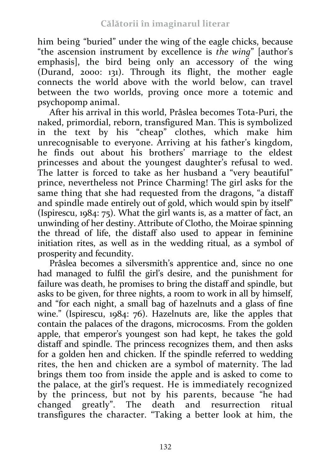him being "buried" under the wing of the eagle chicks, because "the ascension instrument by excellence is *the wing*" [author's emphasis], the bird being only an accessory of the wing (Durand, 2000: 131). Through its flight, the mother eagle connects the world above with the world below, can travel between the two worlds, proving once more a totemic and psychopomp animal.

After his arrival in this world, Prâslea becomes Tota-Puri, the naked, primordial, reborn, transfigured Man. This is symbolized in the text by his "cheap" clothes, which make him unrecognisable to everyone. Arriving at his father's kingdom, he finds out about his brothers' marriage to the eldest princesses and about the youngest daughter's refusal to wed. The latter is forced to take as her husband a "very beautiful" prince, nevertheless not Prince Charming! The girl asks for the same thing that she had requested from the dragons, "a distaff and spindle made entirely out of gold, which would spin by itself" (Ispirescu, 1984: 75). What the girl wants is, as a matter of fact, an unwinding of her destiny. Attribute of Clotho, the Moirae spinning the thread of life, the distaff also used to appear in feminine initiation rites, as well as in the wedding ritual, as a symbol of prosperity and fecundity.

Prâslea becomes a silversmith's apprentice and, since no one had managed to fulfil the girl's desire, and the punishment for failure was death, he promises to bring the distaff and spindle, but asks to be given, for three nights, a room to work in all by himself, and "for each night, a small bag of hazelnuts and a glass of fine wine." (Ispirescu, 1984: 76). Hazelnuts are, like the apples that contain the palaces of the dragons, microcosms. From the golden apple, that emperor's youngest son had kept, he takes the gold distaff and spindle. The princess recognizes them, and then asks for a golden hen and chicken. If the spindle referred to wedding rites, the hen and chicken are a symbol of maternity. The lad brings them too from inside the apple and is asked to come to the palace, at the girl's request. He is immediately recognized by the princess, but not by his parents, because "he had changed greatly". The death and resurrection ritual transfigures the character. "Taking a better look at him, the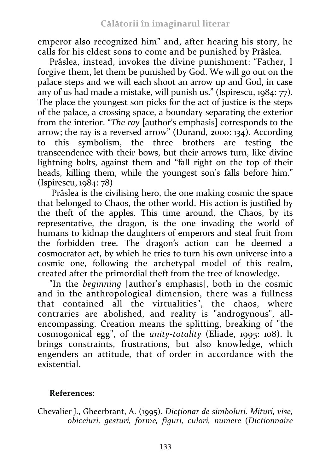emperor also recognized him" and, after hearing his story, he calls for his eldest sons to come and be punished by Prâslea.

Prâslea, instead, invokes the divine punishment: "Father, I forgive them, let them be punished by God. We will go out on the palace steps and we will each shoot an arrow up and God, in case any of us had made a mistake, will punish us." (Ispirescu, 1984: 77). The place the youngest son picks for the act of justice is the steps of the palace, a crossing space, a boundary separating the exterior from the interior. "*The ray* [author's emphasis] corresponds to the arrow; the ray is a reversed arrow" (Durand, 2000: 134). According to this symbolism, the three brothers are testing the transcendence with their bows, but their arrows turn, like divine lightning bolts, against them and "fall right on the top of their heads, killing them, while the youngest son's falls before him." (Ispirescu, 1984: 78)

Prâslea is the civilising hero, the one making cosmic the space that belonged to Chaos, the other world. His action is justified by the theft of the apples. This time around, the Chaos, by its representative, the dragon, is the one invading the world of humans to kidnap the daughters of emperors and steal fruit from the forbidden tree. The dragon's action can be deemed a cosmocrator act, by which he tries to turn his own universe into a cosmic one, following the archetypal model of this realm, created after the primordial theft from the tree of knowledge.

"In the *beginning* [author's emphasis], both in the cosmic and in the anthropological dimension, there was a fullness that contained all the virtualities", the chaos, where contraries are abolished, and reality is "androgynous", allencompassing. Creation means the splitting, breaking of "the cosmogonical egg", of the *unity-totality* (Eliade, 1995: 108). It brings constraints, frustrations, but also knowledge, which engenders an attitude, that of order in accordance with the existential.

## **References**:

Chevalier J., Gheerbrant, A. (1995). *Dicţionar de simboluri*. *Mituri, vise, obiceiuri, gesturi, forme, figuri, culori, numere* (*Dictionnaire*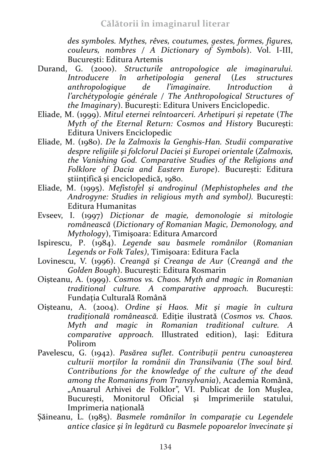*des symboles. Mythes, rêves, coutumes, gestes, formes, figures, couleurs, nombres / A Dictionary of Symbols*). Vol. I-III, București: Editura Artemis

- Durand, G. (2000). *Structurile antropologice ale imaginarului. Introducere în arhetipologia general* (*Les structures anthropologique de l'imaginaire. Introduction à l'archétypologie générale / The Anthropological Structures of the Imaginary*). București: Editura Univers Enciclopedic.
- Eliade, M. (1999). *Mitul eternei reîntoarceri. Arhetipuri și repetate* (*The Myth of the Eternal Return: Cosmos and History* București: Editura Univers Enciclopedic
- Eliade, M. (1980). *De la Zalmoxis la Genghis-Han. Studii comparative despre religiile şi folclorul Daciei şi Europei orientale* (*Zalmoxis, the Vanishing God. Comparative Studies of the Religions and Folklore of Dacia and Eastern Europe*). București: Editura ştiinţifică şi enciclopedică, 1980.
- Eliade, M. (1995). *Mefistofel și androginul (Mephistopheles and the Androgyne: Studies in religious myth and symbol).* București: Editura Humanitas
- Evseev, I. (1997) *Dicţionar de magie, demonologie si mitologie românească* (*Dictionary of Romanian Magic, Demonology, and Mythology*), Timişoara: Editura Amarcord
- Ispirescu, P. (1984). *Legende sau basmele românilor* (*Romanian Legends or Folk Tales)*, Timişoara: Editura Facla
- Lovinescu, V. (1996). *Creangă şi Creanga de Aur* (*Creangă and the Golden Bough*). București: Editura Rosmarin
- Oișteanu, A. (1999). *Cosmos vs. Chaos. Myth and magic in Romanian traditional culture. A comparative approach.* București: Fundația Culturală Română
- Oișteanu, A. (2004). *Ordine și Haos. Mit și magie în cultura tradițională românească.* Ediție ilustrată (*Cosmos vs. Chaos. Myth and magic in Romanian traditional culture. A comparative approach.* Illustrated edition), Iași: Editura Polirom
- Pavelescu, G. (1942). *Pasărea suflet. Contribuții pentru cunoașterea culturii morților la românii din Transilvania* (*The soul bird. Contributions for the knowledge of the culture of the dead among the Romanians from Transylvania*), Academia Română, "Anuarul Arhivei de Folklor", VI. Publicat de Ion Mușlea, București, Monitorul Oficial și Imprimeriile statului, Imprimeria națională
- Şăineanu, L. (1985). *Basmele românilor în comparaţie cu Legendele antice clasice şi în legătură cu Basmele popoarelor învecinate şi*